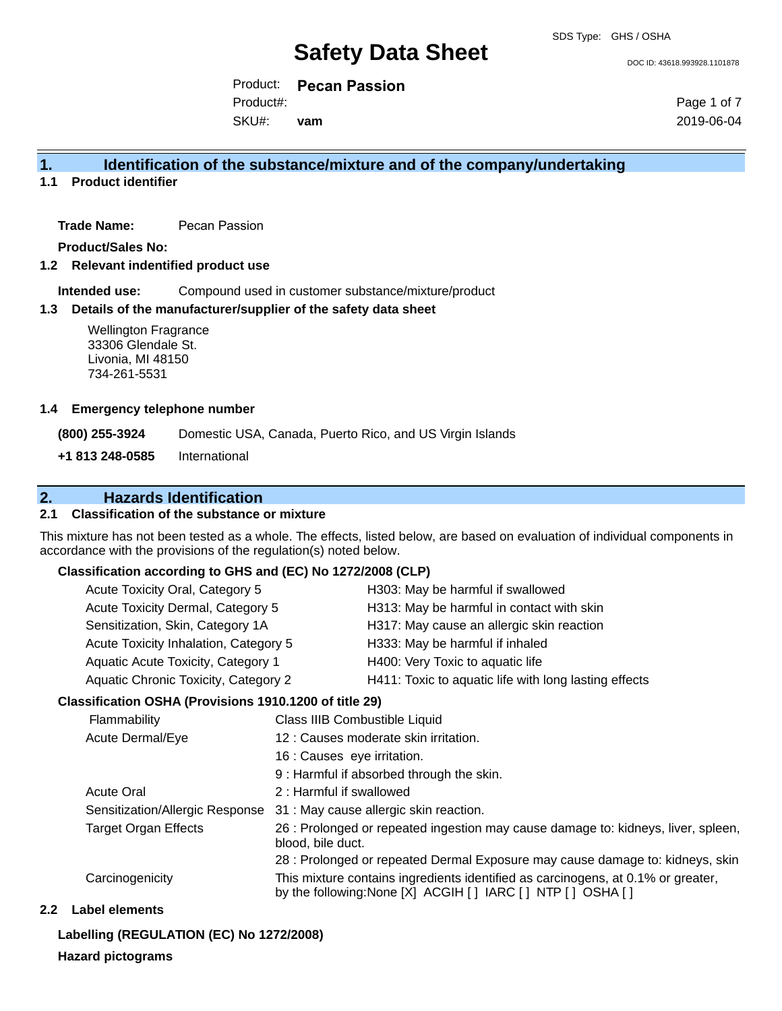DOC ID: 43618.993928.1101878

Product: **Pecan Passion** Product#:

SKU#: **vam** Page 1 of 7 2019-06-04

### **1. Identification of the substance/mixture and of the company/undertaking**

**1.1 Product identifier**

**Trade Name:** Pecan Passion

**Product/Sales No:**

**1.2 Relevant indentified product use**

**Intended use:** Compound used in customer substance/mixture/product

#### **1.3 Details of the manufacturer/supplier of the safety data sheet**

#### **1.4 Emergency telephone number**

### **2. Hazards Identification**

#### **2.1 Classification of the substance or mixture**

#### **Classification according to GHS and (EC) No 1272/2008 (CLP)**

| Acute Toxicity Oral, Category 5             | H303: May be harmful if swallowed                     |
|---------------------------------------------|-------------------------------------------------------|
| Acute Toxicity Dermal, Category 5           | H313: May be harmful in contact with skin             |
| Sensitization, Skin, Category 1A            | H317: May cause an allergic skin reaction             |
| Acute Toxicity Inhalation, Category 5       | H333: May be harmful if inhaled                       |
| Aquatic Acute Toxicity, Category 1          | H400: Very Toxic to aquatic life                      |
| <b>Aquatic Chronic Toxicity, Category 2</b> | H411: Toxic to aquatic life with long lasting effects |
|                                             |                                                       |

#### **Classification OSHA (Provisions 1910.1200 of title 29)**

| <b>Wellington Fragrance</b><br>33306 Glendale St.<br>Livonia, MI 48150<br>734-261-5531 |                                                                                                                                                    |                                                                                                        |                                                                                                                          |
|----------------------------------------------------------------------------------------|----------------------------------------------------------------------------------------------------------------------------------------------------|--------------------------------------------------------------------------------------------------------|--------------------------------------------------------------------------------------------------------------------------|
| <b>Emergency telephone number</b>                                                      |                                                                                                                                                    |                                                                                                        |                                                                                                                          |
| (800) 255-3924                                                                         |                                                                                                                                                    |                                                                                                        | Domestic USA, Canada, Puerto Rico, and US Virgin Islands                                                                 |
| +1 813 248-0585                                                                        | International                                                                                                                                      |                                                                                                        |                                                                                                                          |
| <b>Hazards Identification</b>                                                          |                                                                                                                                                    |                                                                                                        |                                                                                                                          |
| <b>Classification of the substance or mixture</b>                                      |                                                                                                                                                    |                                                                                                        |                                                                                                                          |
| cordance with the provisions of the regulation(s) noted below.                         |                                                                                                                                                    |                                                                                                        | s mixture has not been tested as a whole. The effects, listed below, are based on evaluation of individual components in |
| Classification according to GHS and (EC) No 1272/2008 (CLP)                            |                                                                                                                                                    |                                                                                                        |                                                                                                                          |
| Acute Toxicity Oral, Category 5<br>H303: May be harmful if swallowed                   |                                                                                                                                                    |                                                                                                        |                                                                                                                          |
| Acute Toxicity Dermal, Category 5<br>H313: May be harmful in contact with skin         |                                                                                                                                                    |                                                                                                        |                                                                                                                          |
| Sensitization, Skin, Category 1A<br>H317: May cause an allergic skin reaction          |                                                                                                                                                    |                                                                                                        |                                                                                                                          |
| Acute Toxicity Inhalation, Category 5<br>H333: May be harmful if inhaled               |                                                                                                                                                    |                                                                                                        |                                                                                                                          |
| Aquatic Acute Toxicity, Category 1<br>H400: Very Toxic to aquatic life                 |                                                                                                                                                    |                                                                                                        |                                                                                                                          |
|                                                                                        | Aquatic Chronic Toxicity, Category 2<br>H411: Toxic to aquatic life with long lasting effects                                                      |                                                                                                        |                                                                                                                          |
| Classification OSHA (Provisions 1910.1200 of title 29)                                 |                                                                                                                                                    |                                                                                                        |                                                                                                                          |
| Flammability                                                                           |                                                                                                                                                    | Class IIIB Combustible Liquid                                                                          |                                                                                                                          |
| Acute Dermal/Eye                                                                       |                                                                                                                                                    |                                                                                                        | 12 : Causes moderate skin irritation.                                                                                    |
|                                                                                        |                                                                                                                                                    | 16 : Causes eye irritation.                                                                            |                                                                                                                          |
|                                                                                        | 9 : Harmful if absorbed through the skin.                                                                                                          |                                                                                                        |                                                                                                                          |
| <b>Acute Oral</b>                                                                      |                                                                                                                                                    | 2 : Harmful if swallowed                                                                               |                                                                                                                          |
|                                                                                        |                                                                                                                                                    | Sensitization/Allergic Response 31 : May cause allergic skin reaction.                                 |                                                                                                                          |
| <b>Target Organ Effects</b>                                                            |                                                                                                                                                    | 26 : Prolonged or repeated ingestion may cause damage to: kidneys, liver, spleen,<br>blood, bile duct. |                                                                                                                          |
|                                                                                        |                                                                                                                                                    |                                                                                                        | 28 : Prolonged or repeated Dermal Exposure may cause damage to: kidneys, skin                                            |
| Carcinogenicity                                                                        | This mixture contains ingredients identified as carcinogens, at 0.1% or greater,<br>by the following: None [X] ACGIH [ ] IARC [ ] NTP [ ] OSHA [ ] |                                                                                                        |                                                                                                                          |
| <b>Label elements</b>                                                                  |                                                                                                                                                    |                                                                                                        |                                                                                                                          |
| Labelling (REGULATION (EC) No 1272/2008)                                               |                                                                                                                                                    |                                                                                                        |                                                                                                                          |
| <b>Hazard pictograms</b>                                                               |                                                                                                                                                    |                                                                                                        |                                                                                                                          |

#### **2.2 Label elements**

#### **Labelling (REGULATION (EC) No 1272/2008)**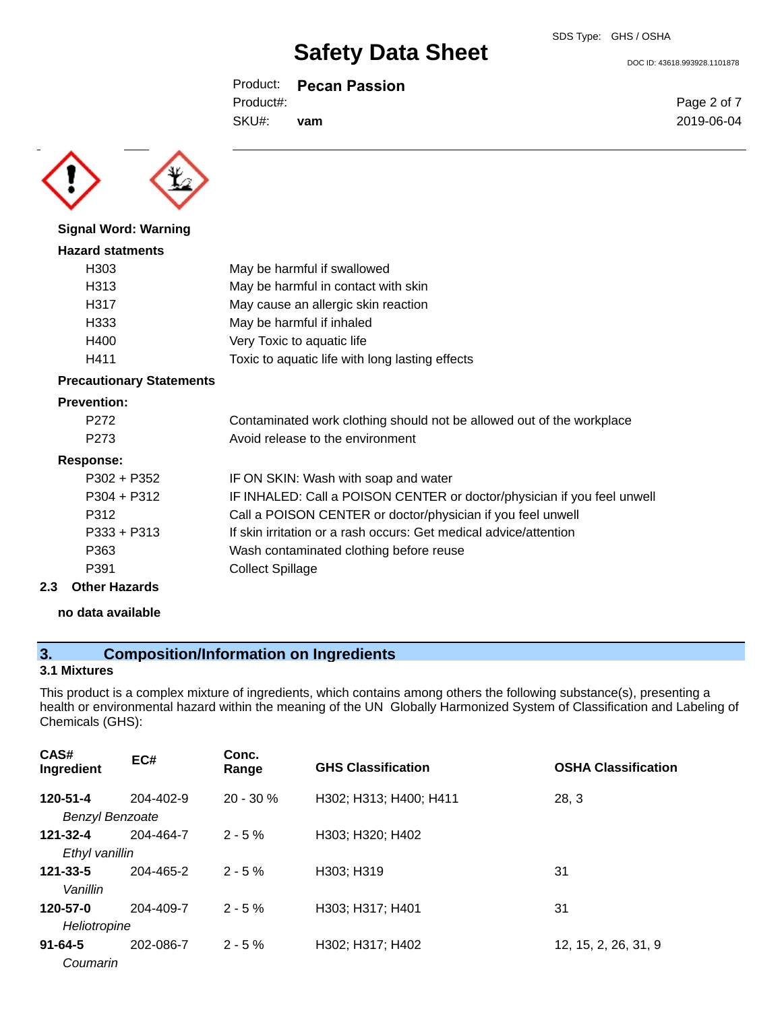Product: **Pecan Passion**

Product#:

SKU#: **vam** Page 2 of 7 2019-06-04

DOC ID: 43618.993928.1101878



**Signal Word: Warning Hazard statments**

# H303 May be harmful if swallowed H313 May be harmful in contact with skin H317 May cause an allergic skin reaction H333 May be harmful if inhaled H400 Very Toxic to aquatic life H411 Toxic to aquatic life with long lasting effects

### **Precautionary Statements**

#### **Prevention:**

| P <sub>272</sub> | Contaminated work clothing should not be allowed out of the workplace   |
|------------------|-------------------------------------------------------------------------|
| P <sub>273</sub> | Avoid release to the environment                                        |
| Response:        |                                                                         |
| $P302 + P352$    | IF ON SKIN: Wash with soap and water                                    |
| $P304 + P312$    | IF INHALED: Call a POISON CENTER or doctor/physician if you feel unwell |
| P312             | Call a POISON CENTER or doctor/physician if you feel unwell             |
| $P333 + P313$    | If skin irritation or a rash occurs: Get medical advice/attention       |
| P363             | Wash contaminated clothing before reuse                                 |
| P391             | <b>Collect Spillage</b>                                                 |
|                  |                                                                         |

#### **2.3 Other Hazards**

#### **no data available**

### **3. Composition/Information on Ingredients**

#### **3.1 Mixtures**

This product is a complex mixture of ingredients, which contains among others the following substance(s), presenting a health or environmental hazard within the meaning of the UN Globally Harmonized System of Classification and Labeling of Chemicals (GHS):

| CAS#<br>Ingredient                 | EC#             | Conc.<br>Range | <b>GHS Classification</b> | <b>OSHA Classification</b> |
|------------------------------------|-----------------|----------------|---------------------------|----------------------------|
| 120-51-4<br><b>Benzyl Benzoate</b> | $204 - 402 - 9$ | $20 - 30 \%$   | H302; H313; H400; H411    | 28, 3                      |
| 121-32-4<br>Ethyl vanillin         | 204-464-7       | $2 - 5%$       | H303; H320; H402          |                            |
| $121 - 33 - 5$<br>Vanillin         | 204-465-2       | $2 - 5%$       | H303; H319                | 31                         |
| 120-57-0<br>Heliotropine           | 204-409-7       | $2 - 5%$       | H303; H317; H401          | 31                         |
| $91 - 64 - 5$<br>Coumarin          | 202-086-7       | $2 - 5%$       | H302; H317; H402          | 12, 15, 2, 26, 31, 9       |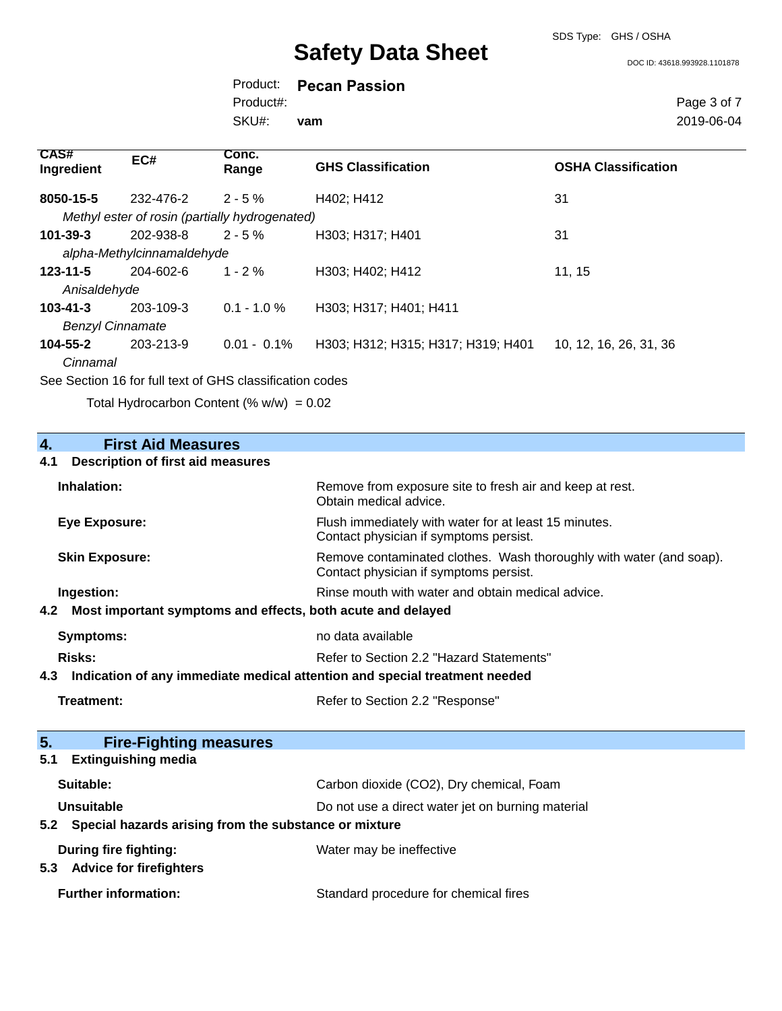SDS Type: GHS / OSHA

DOC ID: 43618.993928.1101878

Product: **Pecan Passion** SKU#: Product#: **vam**

Page 3 of 7 2019-06-04

| CAS#<br>Ingredient      | EC#                        | Conc.<br>Range                                 | <b>GHS Classification</b>          | <b>OSHA Classification</b> |
|-------------------------|----------------------------|------------------------------------------------|------------------------------------|----------------------------|
| 8050-15-5               | 232-476-2                  | $2 - 5 \%$                                     | H402; H412                         | 31                         |
|                         |                            | Methyl ester of rosin (partially hydrogenated) |                                    |                            |
| $101 - 39 - 3$          | 202-938-8                  | $2 - 5%$                                       | H303; H317; H401                   | 31                         |
|                         | alpha-Methylcinnamaldehyde |                                                |                                    |                            |
| $123 - 11 - 5$          | 204-602-6                  | $1 - 2 \%$                                     | H303; H402; H412                   | 11, 15                     |
| Anisaldehyde            |                            |                                                |                                    |                            |
| $103 - 41 - 3$          | 203-109-3                  | $0.1 - 1.0 \%$                                 | H303; H317; H401; H411             |                            |
| <b>Benzyl Cinnamate</b> |                            |                                                |                                    |                            |
| 104-55-2                | 203-213-9                  | $0.01 - 0.1\%$                                 | H303; H312; H315; H317; H319; H401 | 10, 12, 16, 26, 31, 36     |
| Cinnamal                |                            |                                                |                                    |                            |
|                         |                            |                                                |                                    |                            |

See Section 16 for full text of GHS classification codes

Total Hydrocarbon Content (%  $w/w$ ) = 0.02

| <b>First Aid Measures</b><br>4.                                                   |                                                                                                               |
|-----------------------------------------------------------------------------------|---------------------------------------------------------------------------------------------------------------|
| <b>Description of first aid measures</b><br>4.1                                   |                                                                                                               |
| Inhalation:                                                                       | Remove from exposure site to fresh air and keep at rest.<br>Obtain medical advice.                            |
| <b>Eye Exposure:</b>                                                              | Flush immediately with water for at least 15 minutes.<br>Contact physician if symptoms persist.               |
| <b>Skin Exposure:</b>                                                             | Remove contaminated clothes. Wash thoroughly with water (and soap).<br>Contact physician if symptoms persist. |
| Ingestion:                                                                        | Rinse mouth with water and obtain medical advice.                                                             |
| Most important symptoms and effects, both acute and delayed<br>4.2                |                                                                                                               |
| <b>Symptoms:</b>                                                                  | no data available                                                                                             |
| <b>Risks:</b>                                                                     | Refer to Section 2.2 "Hazard Statements"                                                                      |
| Indication of any immediate medical attention and special treatment needed<br>4.3 |                                                                                                               |
| <b>Treatment:</b>                                                                 | Refer to Section 2.2 "Response"                                                                               |
|                                                                                   |                                                                                                               |
| 5.<br><b>Fire-Fighting measures</b>                                               |                                                                                                               |
| <b>Extinguishing media</b><br>5.1                                                 |                                                                                                               |
| Suitable:                                                                         | Carbon dioxide (CO2), Dry chemical, Foam                                                                      |
| Unsuitable                                                                        | Do not use a direct water jet on burning material                                                             |
| 5.2 Special hazards arising from the substance or mixture                         |                                                                                                               |
| During fire fighting:<br>5.3 Advice for firefighters                              | Water may be ineffective                                                                                      |
| <b>Further information:</b>                                                       | Standard procedure for chemical fires                                                                         |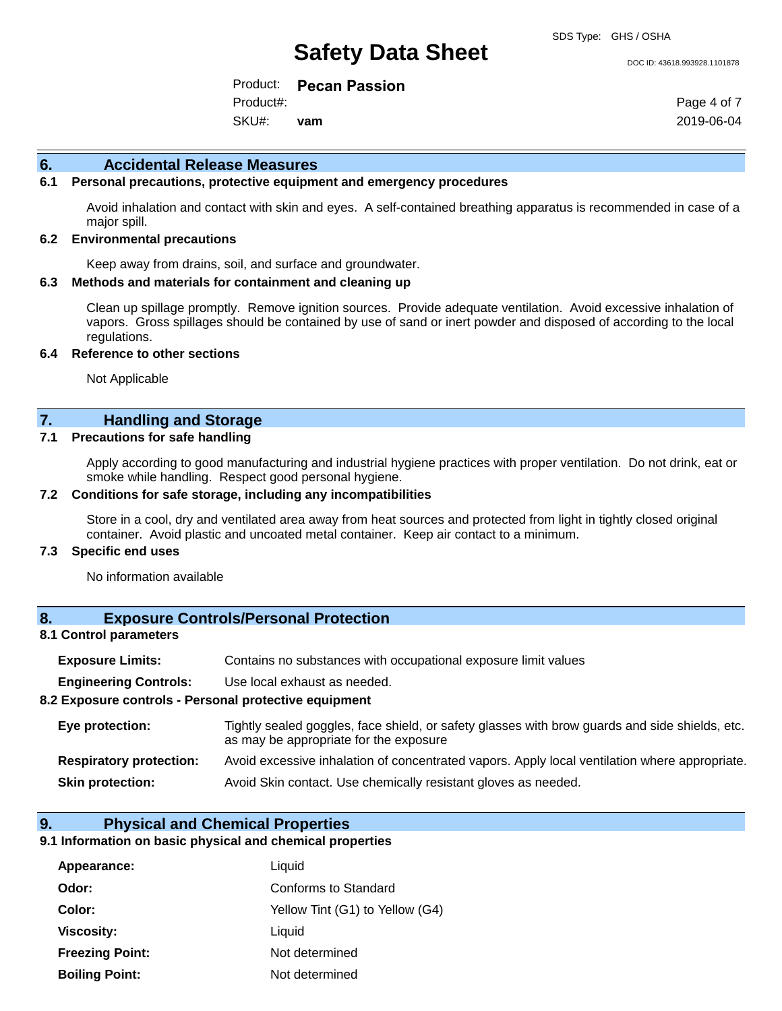#### DOC ID: 43618.993928.1101878

Product: **Pecan Passion** SKU#: Product#: **vam**

Page 4 of 7 2019-06-04

#### **6. Accidental Release Measures**

#### **6.1 Personal precautions, protective equipment and emergency procedures**

Avoid inhalation and contact with skin and eyes. A self-contained breathing apparatus is recommended in case of a major spill.

#### **6.2 Environmental precautions**

Keep away from drains, soil, and surface and groundwater.

#### **6.3 Methods and materials for containment and cleaning up**

Clean up spillage promptly. Remove ignition sources. Provide adequate ventilation. Avoid excessive inhalation of vapors. Gross spillages should be contained by use of sand or inert powder and disposed of according to the local regulations.

#### **6.4 Reference to other sections**

Not Applicable

## **7. Handling and Storage**

#### **7.1 Precautions for safe handling**

Apply according to good manufacturing and industrial hygiene practices with proper ventilation. Do not drink, eat or smoke while handling. Respect good personal hygiene.

#### **7.2 Conditions for safe storage, including any incompatibilities**

Store in a cool, dry and ventilated area away from heat sources and protected from light in tightly closed original container. Avoid plastic and uncoated metal container. Keep air contact to a minimum.

#### **7.3 Specific end uses**

No information available

#### **8. Exposure Controls/Personal Protection**

#### **8.1 Control parameters**

| <b>Exposure Limits:</b>                               | Contains no substances with occupational exposure limit values                                                                           |
|-------------------------------------------------------|------------------------------------------------------------------------------------------------------------------------------------------|
| <b>Engineering Controls:</b>                          | Use local exhaust as needed.                                                                                                             |
| 8.2 Exposure controls - Personal protective equipment |                                                                                                                                          |
| Eye protection:                                       | Tightly sealed goggles, face shield, or safety glasses with brow guards and side shields, etc.<br>as may be appropriate for the exposure |
| <b>Respiratory protection:</b>                        | Avoid excessive inhalation of concentrated vapors. Apply local ventilation where appropriate.                                            |

**Skin protection:** Avoid Skin contact. Use chemically resistant gloves as needed.

#### **9. Physical and Chemical Properties**

#### **9.1 Information on basic physical and chemical properties**

| Appearance:            | Liquid                          |
|------------------------|---------------------------------|
| Odor:                  | Conforms to Standard            |
| Color:                 | Yellow Tint (G1) to Yellow (G4) |
| <b>Viscosity:</b>      | Liquid                          |
| <b>Freezing Point:</b> | Not determined                  |
| <b>Boiling Point:</b>  | Not determined                  |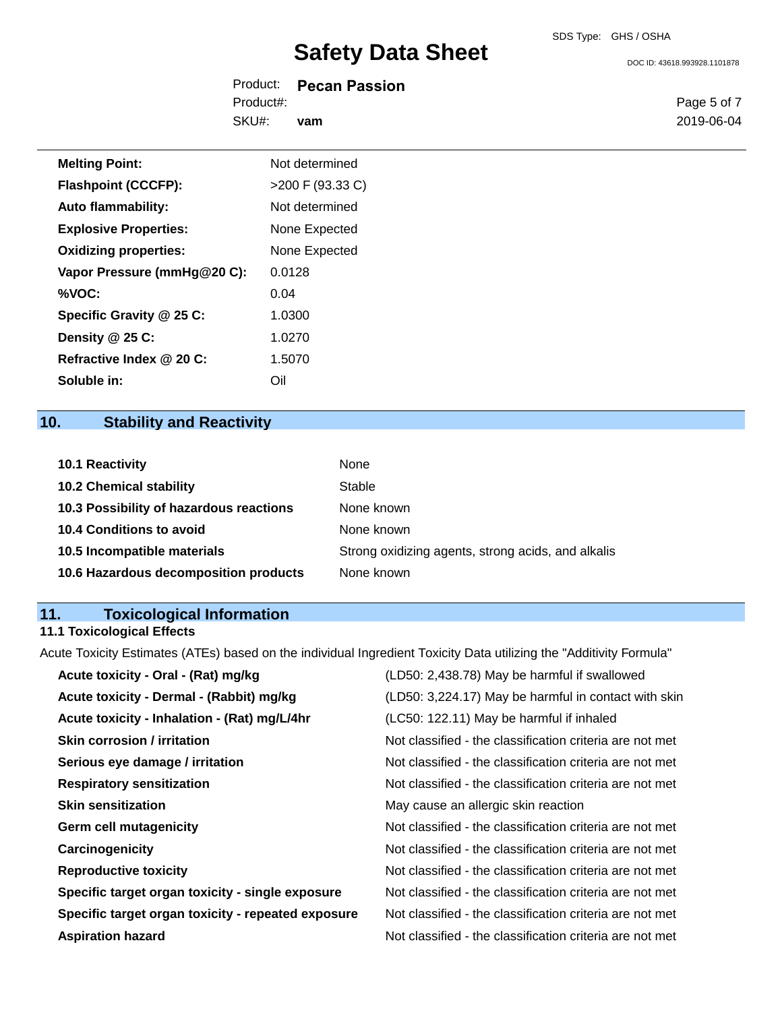DOC ID: 43618.993928.1101878

| Product:  | <b>Pecan Passion</b> |
|-----------|----------------------|
| Product#: |                      |
| SKU#:     | vam                  |

Page 5 of 7 2019-06-04

| <b>Melting Point:</b>        | Not determined   |
|------------------------------|------------------|
| <b>Flashpoint (CCCFP):</b>   | >200 F (93.33 C) |
| <b>Auto flammability:</b>    | Not determined   |
| <b>Explosive Properties:</b> | None Expected    |
| <b>Oxidizing properties:</b> | None Expected    |
| Vapor Pressure (mmHg@20 C):  | 0.0128           |
| %VOC:                        | 0.04             |
| Specific Gravity @ 25 C:     | 1.0300           |
| Density $@25C$ :             | 1.0270           |
| Refractive Index @ 20 C:     | 1.5070           |
| Soluble in:                  | Oil              |

# **10. Stability and Reactivity**

| <b>10.1 Reactivity</b>                  | None                                               |
|-----------------------------------------|----------------------------------------------------|
| <b>10.2 Chemical stability</b>          | Stable                                             |
| 10.3 Possibility of hazardous reactions | None known                                         |
| <b>10.4 Conditions to avoid</b>         | None known                                         |
| 10.5 Incompatible materials             | Strong oxidizing agents, strong acids, and alkalis |
| 10.6 Hazardous decomposition products   | None known                                         |

#### **11. Toxicological Information**

#### **11.1 Toxicological Effects**

Acute Toxicity Estimates (ATEs) based on the individual Ingredient Toxicity Data utilizing the "Additivity Formula"

| Acute toxicity - Oral - (Rat) mg/kg                | (LD50: 2,438.78) May be harmful if swallowed             |
|----------------------------------------------------|----------------------------------------------------------|
| Acute toxicity - Dermal - (Rabbit) mg/kg           | (LD50: 3,224.17) May be harmful in contact with skin     |
| Acute toxicity - Inhalation - (Rat) mg/L/4hr       | (LC50: 122.11) May be harmful if inhaled                 |
| <b>Skin corrosion / irritation</b>                 | Not classified - the classification criteria are not met |
| Serious eye damage / irritation                    | Not classified - the classification criteria are not met |
| <b>Respiratory sensitization</b>                   | Not classified - the classification criteria are not met |
| <b>Skin sensitization</b>                          | May cause an allergic skin reaction                      |
| <b>Germ cell mutagenicity</b>                      | Not classified - the classification criteria are not met |
| Carcinogenicity                                    | Not classified - the classification criteria are not met |
| <b>Reproductive toxicity</b>                       | Not classified - the classification criteria are not met |
| Specific target organ toxicity - single exposure   | Not classified - the classification criteria are not met |
| Specific target organ toxicity - repeated exposure | Not classified - the classification criteria are not met |
| <b>Aspiration hazard</b>                           | Not classified - the classification criteria are not met |
|                                                    |                                                          |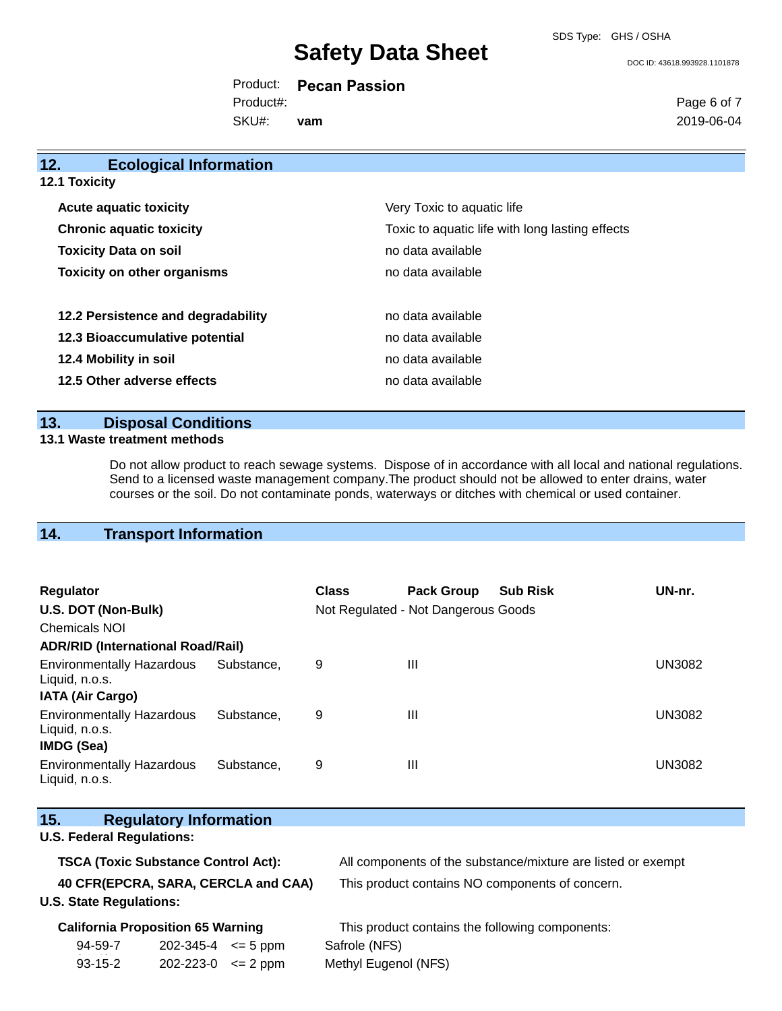SDS Type: GHS / OSHA

DOC ID: 43618.993928.1101878

Product: **Pecan Passion** SKU#: Product#: **vam**

Page 6 of 7 2019-06-04

# **12. Ecological Information 12.1 Toxicity**

| <b>Acute aquatic toxicity</b>      | Very Toxic to aquatic life                      |
|------------------------------------|-------------------------------------------------|
| <b>Chronic aquatic toxicity</b>    | Toxic to aquatic life with long lasting effects |
| <b>Toxicity Data on soil</b>       | no data available                               |
| <b>Toxicity on other organisms</b> | no data available                               |
|                                    |                                                 |
| 12.2 Persistence and degradability | no data available                               |
| 12.3 Bioaccumulative potential     | no data available                               |
| 12.4 Mobility in soil              | no data available                               |
| 12.5 Other adverse effects         | no data available                               |

### **13. Disposal Conditions**

#### **13.1 Waste treatment methods**

 $\mathcal{N}_{\mathrm{S}}$ 

Do not allow product to reach sewage systems. Dispose of in accordance with all local and national regulations. Send to a licensed waste management company.The product should not be allowed to enter drains, water courses or the soil. Do not contaminate ponds, waterways or ditches with chemical or used container.

# **14. Transport Information**

| <b>Regulator</b><br>U.S. DOT (Non-Bulk)<br>Chemicals NOI                |            | <b>Class</b> | <b>Pack Group</b><br>Not Regulated - Not Dangerous Goods | <b>Sub Risk</b> | UN-nr.        |
|-------------------------------------------------------------------------|------------|--------------|----------------------------------------------------------|-----------------|---------------|
| <b>ADR/RID (International Road/Rail)</b>                                |            |              |                                                          |                 |               |
| <b>Environmentally Hazardous</b><br>Liquid, n.o.s.                      | Substance. | 9            | $\mathbf{III}$                                           |                 | <b>UN3082</b> |
| <b>IATA (Air Cargo)</b>                                                 |            |              |                                                          |                 |               |
| <b>Environmentally Hazardous</b><br>Liquid, n.o.s.<br><b>IMDG (Sea)</b> | Substance. | 9            | Ш                                                        |                 | UN3082        |
| <b>Environmentally Hazardous</b><br>Liquid, n.o.s.                      | Substance. | 9            | $\mathbf{III}$                                           |                 | UN3082        |

# **15. Regulatory Information U.S. Federal Regulations: TSCA (Toxic Substance Control Act):** All components of the substance/mixture are listed or exempt **40 CFR(EPCRA, SARA, CERCLA and CAA)** This product contains NO components of concern. **U.S. State Regulations:**

| <b>California Proposition 65 Warning</b> |                                    | This product contains the following components: |  |  |
|------------------------------------------|------------------------------------|-------------------------------------------------|--|--|
| 94-59-7                                  | $202 - 345 - 4 \leq 5 \text{ ppm}$ | Safrole (NFS)                                   |  |  |
| 93-15-2                                  | $202 - 223 - 0 \leq 2 \text{ ppm}$ | Methyl Eugenol (NFS)                            |  |  |